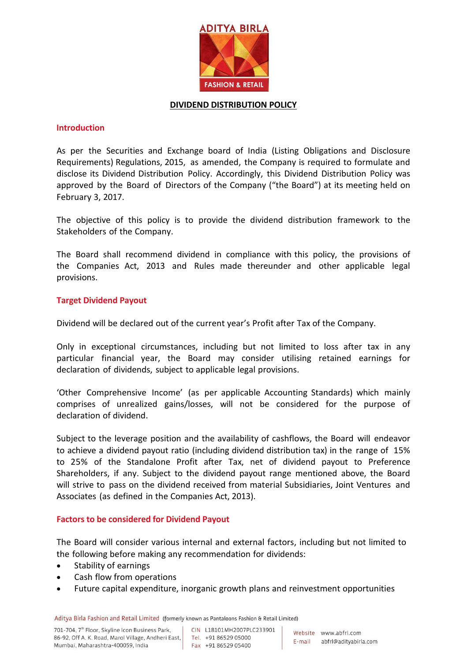

#### **DIVIDEND DISTRIBUTION POLICY**

### **Introduction**

As per the Securities and Exchange board of India (Listing Obligations and Disclosure Requirements) Regulations, 2015, as amended, the Company is required to formulate and disclose its Dividend Distribution Policy. Accordingly, this Dividend Distribution Policy was approved by the Board of Directors of the Company ("the Board") at its meeting held on February 3, 2017.

The objective of this policy is to provide the dividend distribution framework to the Stakeholders of the Company.

The Board shall recommend dividend in compliance with this policy, the provisions of the Companies Act, 2013 and Rules made thereunder and other applicable legal provisions.

### **Target Dividend Payout**

Dividend will be declared out of the current year's Profit after Tax of the Company.

Only in exceptional circumstances, including but not limited to loss after tax in any particular financial year, the Board may consider utilising retained earnings for declaration of dividends, subject to applicable legal provisions.

'Other Comprehensive Income' (as per applicable Accounting Standards) which mainly comprises of unrealized gains/losses, will not be considered for the purpose of declaration of dividend.

Subject to the leverage position and the availability of cashflows, the Board will endeavor to achieve a dividend payout ratio (including dividend distribution tax) in the range of 15% to 25% of the Standalone Profit after Tax, net of dividend payout to Preference Shareholders, if any. Subject to the dividend payout range mentioned above, the Board will strive to pass on the dividend received from material Subsidiaries, Joint Ventures and Associates (as defined in the Companies Act, 2013).

# **Factors to be considered for Dividend Payout**

The Board will consider various internal and external factors, including but not limited to the following before making any recommendation for dividends:

- Stability of earnings
- Cash flow from operations
- Future capital expenditure, inorganic growth plans and reinvestment opportunities

Aditya Birla Fashion and Retail Limited (formerly known as Pantaloons Fashion & Retail Limited)